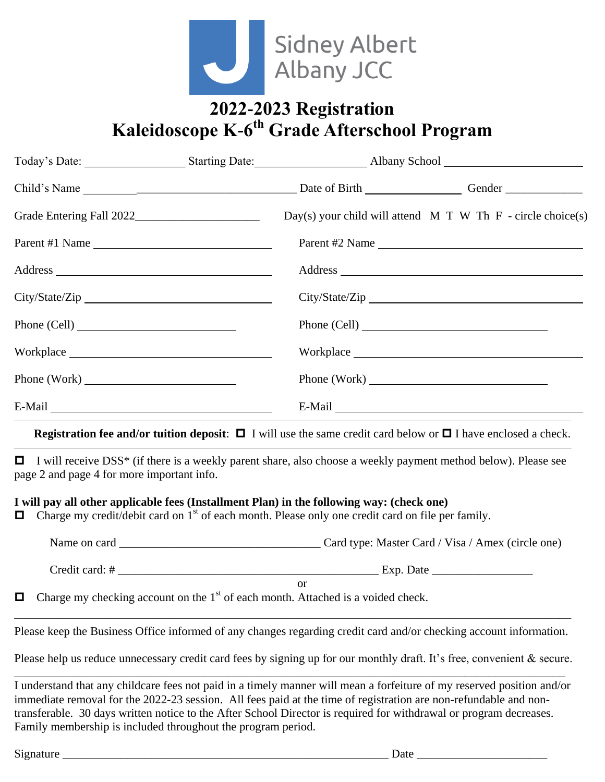

# **2022-2023 Registration Kaleidoscope K-6 th Grade Afterschool Program**

|                |  | Day(s) your child will attend $M T W T h F$ - circle choice(s)                                                                                                                                                                 |
|----------------|--|--------------------------------------------------------------------------------------------------------------------------------------------------------------------------------------------------------------------------------|
| Parent #1 Name |  | Parent #2 Name                                                                                                                                                                                                                 |
|                |  |                                                                                                                                                                                                                                |
| City/State/Zip |  |                                                                                                                                                                                                                                |
| Phone (Cell)   |  | Phone (Cell)                                                                                                                                                                                                                   |
|                |  |                                                                                                                                                                                                                                |
|                |  | Phone (Work)                                                                                                                                                                                                                   |
|                |  | E-Mail experience of the state of the state of the state of the state of the state of the state of the state of the state of the state of the state of the state of the state of the state of the state of the state of the st |
|                |  |                                                                                                                                                                                                                                |

#### **Registration fee and/or tuition deposit:**  $\Box$  I will use the same credit card below or  $\Box$  I have enclosed a check.

□ I will receive DSS<sup>\*</sup> (if there is a weekly parent share, also choose a weekly payment method below). Please see page 2 and page 4 for more important info.

 $\overline{\phantom{a}}$  , and the contract of the contract of the contract of the contract of the contract of the contract of the contract of the contract of the contract of the contract of the contract of the contract of the contrac

### **I will pay all other applicable fees (Installment Plan) in the following way: (check one)**

 $\Box$  Charge my credit/debit card on 1<sup>st</sup> of each month. Please only one credit card on file per family.

| Name on card   | Card type: Master Card / Visa / Amex (circle one) |
|----------------|---------------------------------------------------|
| Credit card: # | Exp. Date                                         |
|                | or                                                |

 $\Box$  Charge my checking account on the 1<sup>st</sup> of each month. Attached is a voided check.

 $\overline{\phantom{a}}$  , and the contract of the contract of the contract of the contract of the contract of the contract of the contract of the contract of the contract of the contract of the contract of the contract of the contrac Please keep the Business Office informed of any changes regarding credit card and/or checking account information.

Please help us reduce unnecessary credit card fees by signing up for our monthly draft. It's free, convenient & secure. \_\_\_\_\_\_\_\_\_\_\_\_\_\_\_\_\_\_\_\_\_\_\_\_\_\_\_\_\_\_\_\_\_\_\_\_\_\_\_\_\_\_\_\_\_\_\_\_\_\_\_\_\_\_\_\_\_\_\_\_\_\_\_\_\_\_\_\_\_\_\_\_\_\_\_\_\_\_\_\_\_\_\_\_\_\_\_\_\_\_\_\_\_

I understand that any childcare fees not paid in a timely manner will mean a forfeiture of my reserved position and/or immediate removal for the 2022-23 session. All fees paid at the time of registration are non-refundable and nontransferable. 30 days written notice to the After School Director is required for withdrawal or program decreases. Family membership is included throughout the program period.

Signature \_\_\_\_\_\_\_\_\_\_\_\_\_\_\_\_\_\_\_\_\_\_\_\_\_\_\_\_\_\_\_\_\_\_\_\_\_\_\_\_\_\_\_\_\_\_\_\_\_\_\_\_\_\_\_ Date \_\_\_\_\_\_\_\_\_\_\_\_\_\_\_\_\_\_\_\_\_\_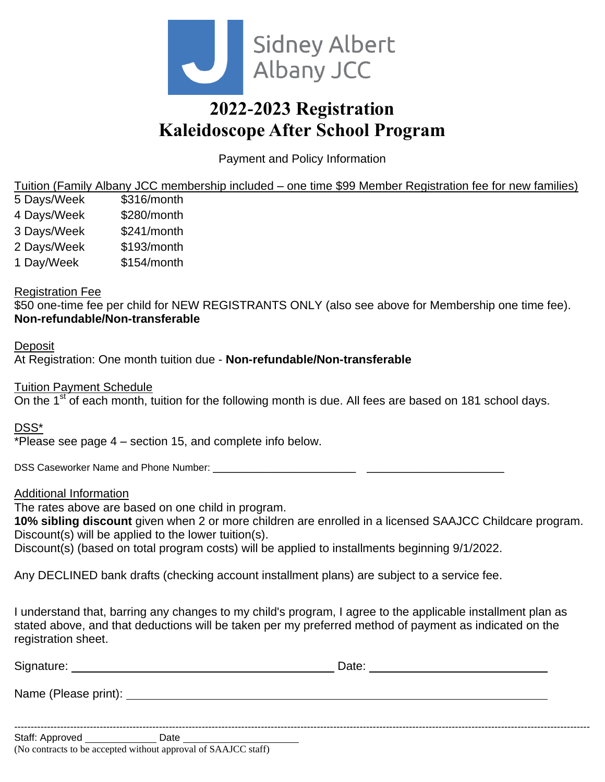

# **2022-2023 Registration Kaleidoscope After School Program**

Payment and Policy Information

Tuition (Family Albany JCC membership included – one time \$99 Member Registration fee for new families)

- 5 Days/Week \$316/month
- 4 Days/Week \$280/month
- 3 Days/Week \$241/month
- 2 Days/Week \$193/month
- 1 Day/Week \$154/month

### Registration Fee

\$50 one-time fee per child for NEW REGISTRANTS ONLY (also see above for Membership one time fee). **Non-refundable/Non-transferable**

### **Deposit**

At Registration: One month tuition due - **Non-refundable/Non-transferable**

Tuition Payment Schedule

On the 1<sup>st</sup> of each month, tuition for the following month is due. All fees are based on 181 school days.

DSS\*

\*Please see page 4 – section 15, and complete info below.

DSS Caseworker Name and Phone Number: \_\_\_\_\_\_\_\_\_\_\_\_\_\_\_\_\_\_\_\_\_\_\_\_\_\_ \_\_\_\_\_\_\_\_\_\_\_\_\_\_\_\_\_\_\_\_\_\_\_\_\_

### Additional Information

The rates above are based on one child in program.

**10% sibling discount** given when 2 or more children are enrolled in a licensed SAAJCC Childcare program. Discount(s) will be applied to the lower tuition(s).

Discount(s) (based on total program costs) will be applied to installments beginning 9/1/2022.

Any DECLINED bank drafts (checking account installment plans) are subject to a service fee.

I understand that, barring any changes to my child's program, I agree to the applicable installment plan as stated above, and that deductions will be taken per my preferred method of payment as indicated on the registration sheet.

| Signature:             |      | Date: |  |
|------------------------|------|-------|--|
| Name (Please print): _ |      |       |  |
|                        |      |       |  |
| Staff: Approved        | Date |       |  |

(No contracts to be accepted without approval of SAAJCC staff)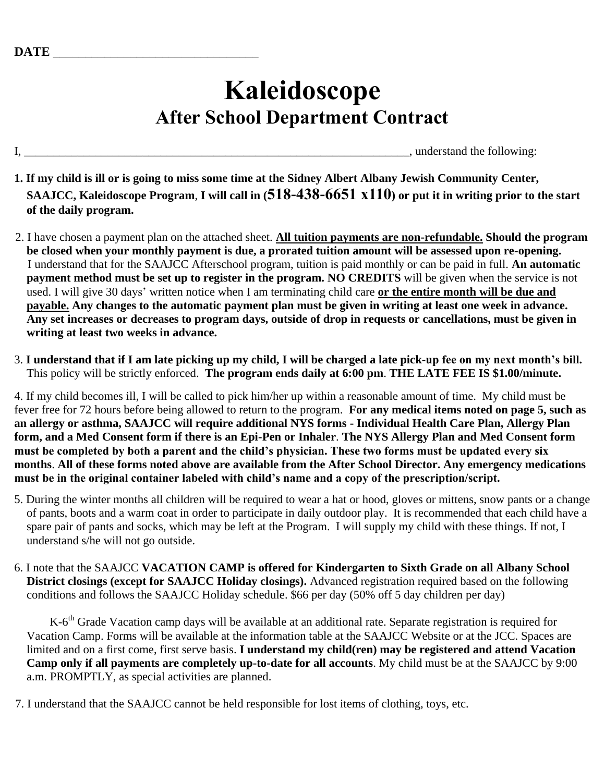# **Kaleidoscope After School Department Contract**

I, \_\_\_\_\_\_\_\_\_\_\_\_\_\_\_\_\_\_\_\_\_\_\_\_\_\_\_\_\_\_\_\_\_\_\_\_\_\_\_\_\_\_\_\_\_\_\_\_\_\_\_\_\_\_\_\_\_\_\_\_\_\_\_\_\_, understand the following:

- **1. If my child is ill or is going to miss some time at the Sidney Albert Albany Jewish Community Center, SAAJCC, Kaleidoscope Program**, **I will call in (518-438-6651 x110) or put it in writing prior to the start of the daily program.**
- 2. I have chosen a payment plan on the attached sheet. **All tuition payments are non-refundable. Should the program be closed when your monthly payment is due, a prorated tuition amount will be assessed upon re-opening.** I understand that for the SAAJCC Afterschool program, tuition is paid monthly or can be paid in full. **An automatic payment method must be set up to register in the program. NO CREDITS** will be given when the service is not used. I will give 30 days' written notice when I am terminating child care **or the entire month will be due and payable. Any changes to the automatic payment plan must be given in writing at least one week in advance. Any set increases or decreases to program days, outside of drop in requests or cancellations, must be given in writing at least two weeks in advance.**
- 3. **I understand that if I am late picking up my child, I will be charged a late pick-up fee on my next month's bill.**  This policy will be strictly enforced. **The program ends daily at 6:00 pm**. **THE LATE FEE IS \$1.00/minute.**

4. If my child becomes ill, I will be called to pick him/her up within a reasonable amount of time. My child must be fever free for 72 hours before being allowed to return to the program. **For any medical items noted on page 5, such as an allergy or asthma, SAAJCC will require additional NYS forms - Individual Health Care Plan, Allergy Plan form, and a Med Consent form if there is an Epi-Pen or Inhaler**. **The NYS Allergy Plan and Med Consent form must be completed by both a parent and the child's physician. These two forms must be updated every six months**. **All of these forms noted above are available from the After School Director. Any emergency medications must be in the original container labeled with child's name and a copy of the prescription/script.** 

- 5. During the winter months all children will be required to wear a hat or hood, gloves or mittens, snow pants or a change of pants, boots and a warm coat in order to participate in daily outdoor play. It is recommended that each child have a spare pair of pants and socks, which may be left at the Program. I will supply my child with these things. If not, I understand s/he will not go outside.
- 6. I note that the SAAJCC **VACATION CAMP is offered for Kindergarten to Sixth Grade on all Albany School District closings (except for SAAJCC Holiday closings).** Advanced registration required based on the following conditions and follows the SAAJCC Holiday schedule. \$66 per day (50% off 5 day children per day)

K-6<sup>th</sup> Grade Vacation camp days will be available at an additional rate. Separate registration is required for Vacation Camp. Forms will be available at the information table at the SAAJCC Website or at the JCC. Spaces are limited and on a first come, first serve basis. **I understand my child(ren) may be registered and attend Vacation Camp only if all payments are completely up-to-date for all accounts**. My child must be at the SAAJCC by 9:00 a.m. PROMPTLY, as special activities are planned.

7. I understand that the SAAJCC cannot be held responsible for lost items of clothing, toys, etc.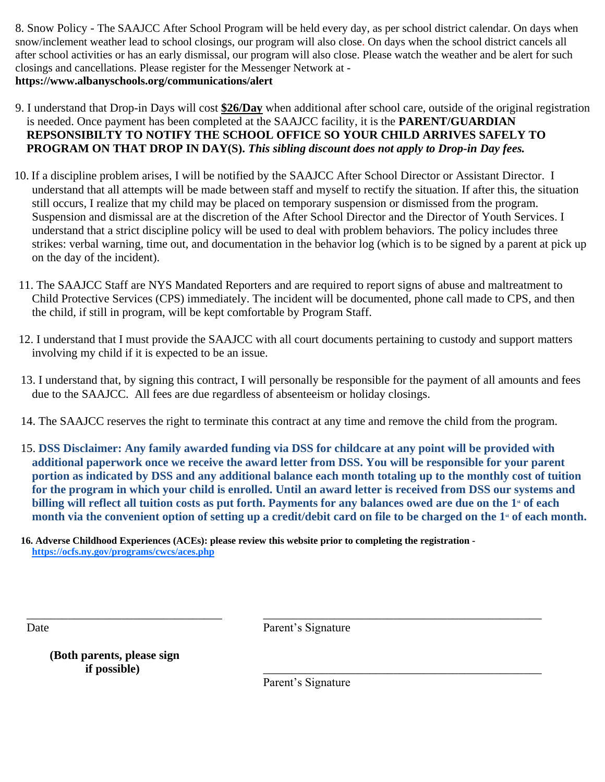8. Snow Policy - The SAAJCC After School Program will be held every day, as per school district calendar. On days when snow/inclement weather lead to school closings, our program will also close. On days when the school district cancels all after school activities or has an early dismissal, our program will also close. Please watch the weather and be alert for such closings and cancellations. Please register for the Messenger Network at **https://www.albanyschools.org/communications/alert** 

- 9. I understand that Drop-in Days will cost **\$26/Day** when additional after school care, outside of the original registration is needed. Once payment has been completed at the SAAJCC facility, it is the **PARENT/GUARDIAN REPSONSIBILTY TO NOTIFY THE SCHOOL OFFICE SO YOUR CHILD ARRIVES SAFELY TO PROGRAM ON THAT DROP IN DAY(S).** *This sibling discount does not apply to Drop-in Day fees.*
- 10. If a discipline problem arises, I will be notified by the SAAJCC After School Director or Assistant Director. I understand that all attempts will be made between staff and myself to rectify the situation. If after this, the situation still occurs, I realize that my child may be placed on temporary suspension or dismissed from the program. Suspension and dismissal are at the discretion of the After School Director and the Director of Youth Services. I understand that a strict discipline policy will be used to deal with problem behaviors. The policy includes three strikes: verbal warning, time out, and documentation in the behavior log (which is to be signed by a parent at pick up on the day of the incident).
- 11. The SAAJCC Staff are NYS Mandated Reporters and are required to report signs of abuse and maltreatment to Child Protective Services (CPS) immediately. The incident will be documented, phone call made to CPS, and then the child, if still in program, will be kept comfortable by Program Staff.
- 12. I understand that I must provide the SAAJCC with all court documents pertaining to custody and support matters involving my child if it is expected to be an issue.
- 13. I understand that, by signing this contract, I will personally be responsible for the payment of all amounts and fees due to the SAAJCC. All fees are due regardless of absenteeism or holiday closings.
- 14. The SAAJCC reserves the right to terminate this contract at any time and remove the child from the program.
- 15. **DSS Disclaimer: Any family awarded funding via DSS for childcare at any point will be provided with additional paperwork once we receive the award letter from DSS. You will be responsible for your parent portion as indicated by DSS and any additional balance each month totaling up to the monthly cost of tuition for the program in which your child is enrolled. Until an award letter is received from DSS our systems and billing will reflect all tuition costs as put forth. Payments for any balances owed are due on the 1<sup>***st***</sup> of each month via the convenient option of setting up a credit/debit card on file to be charged on the 1st of each month.**

**16. Adverse Childhood Experiences (ACEs): please review this website prior to completing the registration <https://ocfs.ny.gov/programs/cwcs/aces.php>**

Date Parent's Signature

\_\_\_\_\_\_\_\_\_\_\_\_\_\_\_\_\_\_\_\_\_\_\_\_\_\_\_\_\_\_\_\_\_ \_\_\_\_\_\_\_\_\_\_\_\_\_\_\_\_\_\_\_\_\_\_\_\_\_\_\_\_\_\_\_\_\_\_\_\_\_\_\_\_\_\_\_\_\_\_\_

**(Both parents, please sign if possible)** \_\_\_\_\_\_\_\_\_\_\_\_\_\_\_\_\_\_\_\_\_\_\_\_\_\_\_\_\_\_\_\_\_\_\_\_\_\_\_\_\_\_\_\_\_\_\_

Parent's Signature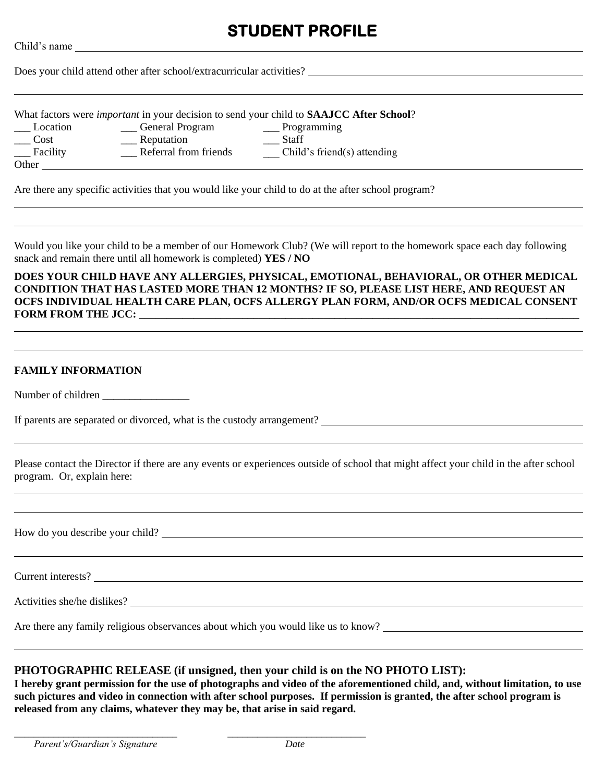# **STUDENT PROFILE**

|  | Does your child attend other after school/extracurricular activities? |
|--|-----------------------------------------------------------------------|
|  |                                                                       |

What factors were *important* in your decision to send your child to **SAAJCC After School**?

- 
- \_\_\_ Location \_\_\_ General Program \_\_\_ Programming
- 
- \_\_\_ Cost \_\_\_ Reputation \_\_\_ Staff
- 

Child's name

- 
- Let Facility **Example 2.** Referral from friends The Child's friend(s) attending

Other

Are there any specific activities that you would like your child to do at the after school program?

Would you like your child to be a member of our Homework Club? (We will report to the homework space each day following snack and remain there until all homework is completed) **YES / NO**

**DOES YOUR CHILD HAVE ANY ALLERGIES, PHYSICAL, EMOTIONAL, BEHAVIORAL, OR OTHER MEDICAL CONDITION THAT HAS LASTED MORE THAN 12 MONTHS? IF SO, PLEASE LIST HERE, AND REQUEST AN OCFS INDIVIDUAL HEALTH CARE PLAN, OCFS ALLERGY PLAN FORM, AND/OR OCFS MEDICAL CONSENT FORM FROM THE JCC:** 

#### **FAMILY INFORMATION**

Number of children \_\_\_\_\_\_\_\_\_\_\_\_\_\_\_\_

If parents are separated or divorced, what is the custody arrangement?

Please contact the Director if there are any events or experiences outside of school that might affect your child in the after school program. Or, explain here:

How do you describe your child?

Current interests?

Activities she/he dislikes?

Are there any family religious observances about which you would like us to know?

\_\_\_\_\_\_\_\_\_\_\_\_\_\_\_\_\_\_\_\_\_\_\_\_\_\_\_\_\_\_\_\_\_ \_\_\_\_\_\_\_\_\_\_\_\_\_\_\_\_\_\_\_\_\_\_\_\_\_\_\_\_

#### **PHOTOGRAPHIC RELEASE (if unsigned, then your child is on the NO PHOTO LIST):**

**I hereby grant permission for the use of photographs and video of the aforementioned child, and, without limitation, to use such pictures and video in connection with after school purposes. If permission is granted, the after school program is released from any claims, whatever they may be, that arise in said regard.**